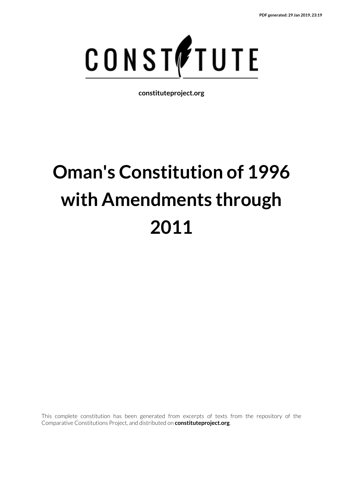

**constituteproject.org**

# **Oman's Constitution of 1996 with Amendments through 2011**

This complete constitution has been generated from excerpts of texts from the repository of the Comparative Constitutions Project, and distributed on **constituteproject.org**.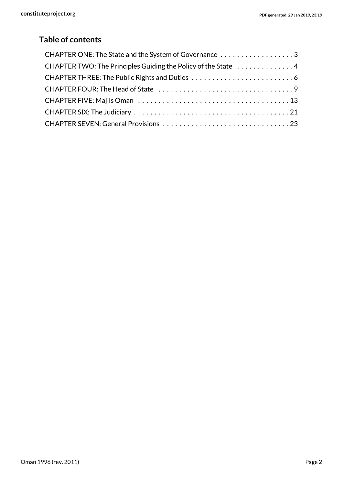# **Table of contents**

| CHAPTER ONE: The State and the System of Governance 3         |
|---------------------------------------------------------------|
| CHAPTER TWO: The Principles Guiding the Policy of the State 4 |
|                                                               |
|                                                               |
|                                                               |
|                                                               |
|                                                               |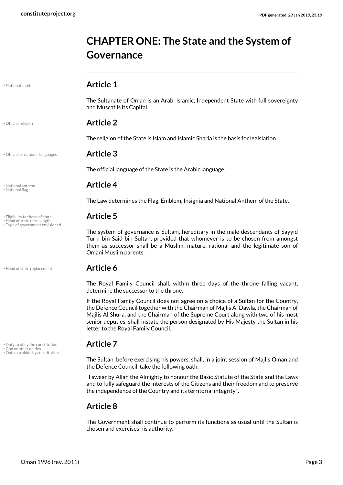# <span id="page-2-0"></span>**CHAPTER ONE: The State and the System of Governance**

The Sultanate of Oman is an Arab, Islamic, Independent State with full sovereignty

<span id="page-2-7"></span>• National capital **Article 1**

<span id="page-2-11"></span>• Official religion **Article 2**

and Muscat is its Capital.

The religion of the State is Islam and Islamic Sharia is the basis for legislation.

#### • Official or national languages **Article 3**

<span id="page-2-10"></span>The official language of the State is the Arabic language.

# • National anthem **Article 4** • National flag

The Law determines the Flag, Emblem, Insignia and National Anthem of the State.

<span id="page-2-12"></span><span id="page-2-5"></span><span id="page-2-2"></span>The system of governance is Sultani, hereditary in the male descendants of Sayyid Turki bin Said bin Sultan, provided that whomever is to be chosen from amongst them as successor shall be a Muslim, mature, rational and the legitimate son of Omani Muslim parents.

<span id="page-2-4"></span>The Royal Family Council shall, within three days of the throne falling vacant, determine the successor to the throne.

If the Royal Family Council does not agree on a choice of a Sultan for the Country, the Defence Council together with the Chairman of Majlis Al Dawla, the Chairman of Majlis Al Shura, and the Chairman of the Supreme Court along with two of his most senior deputies, shall instate the person designated by His Majesty the Sultan in his letter to the Royal Family Council.

<span id="page-2-9"></span><span id="page-2-1"></span>The Sultan, before exercising his powers, shall, in a joint session of Majlis Oman and the Defence Council, take the following oath:

"I swear by Allah the Almighty to honour the Basic Statute of the State and the Laws and to fully safeguard the interests of the Citizens and their freedom and to preserve the independence of the Country and its territorial integrity".

### **Article 8**

The Government shall continue to perform its functions as usual until the Sultan is chosen and exercises his authority.

<span id="page-2-8"></span><span id="page-2-6"></span>

• Eligibility for head of state **Article 5** • Head of state term length

• Type of government envisioned

• Head of state replacement **Article 6** 

<span id="page-2-3"></span>• Duty to obey the constitution **Article 7** • God or other deities • Oaths to abide by constitution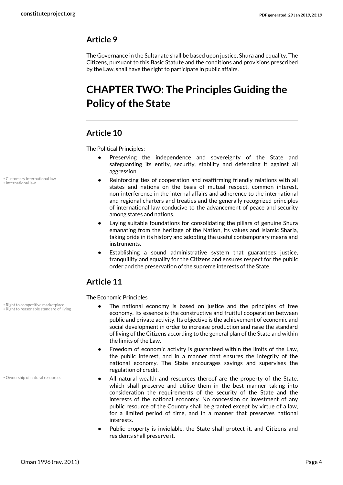### **Article 9**

The Governance in the Sultanate shall be based upon justice, Shura and equality. The Citizens, pursuant to this Basic Statute and the conditions and provisions prescribed by the Law, shall have the right to participate in public affairs.

# <span id="page-3-0"></span>**CHAPTER TWO: The Principles Guiding the Policy of the State**

#### **Article 10**

The Political Principles:

- **•** Preserving the independence and sovereignty of the State and safeguarding its entity, security, stability and defending it against all aggression.
- <span id="page-3-1"></span>**•** Reinforcing ties of cooperation and reaffirming friendly relations with all states and nations on the basis of mutual respect, common interest, non-interference in the internal affairs and adherence to the international and regional charters and treaties and the generally recognized principles of international law conducive to the advancement of peace and security among states and nations.
- **•** Laying suitable foundations for consolidating the pillars of genuine Shura emanating from the heritage of the Nation, its values and Islamic Sharia, taking pride in its history and adopting the useful contemporary means and instruments.
- **•** Establishing a sound administrative system that guarantees justice, tranquillity and equality for the Citizens and ensures respect for the public order and the preservation of the supreme interests of the State.

### **Article 11**

<span id="page-3-5"></span><span id="page-3-4"></span>The Economic Principles

- **•** The national economy is based on justice and the principles of free economy. Its essence is the constructive and fruitful cooperation between public and private activity. Its objective is the achievement of economic and social development in order to increase production and raise the standard of living of the Citizens according to the general plan of the State and within the limits of the Law.
- **•** Freedom of economic activity is guaranteed within the limits of the Law, the public interest, and in a manner that ensures the integrity of the national economy. The State encourages savings and supervises the regulation of credit.
- <span id="page-3-3"></span>**•** All natural wealth and resources thereof are the property of the State, which shall preserve and utilise them in the best manner taking into consideration the requirements of the security of the State and the interests of the national economy. No concession or investment of any public resource of the Country shall be granted except by virtue of a law, for a limited period of time, and in a manner that preserves national interests.
- **•** Public property is inviolable, the State shall protect it, and Citizens and residents shall preserve it.

<span id="page-3-2"></span>• Customary international law • International law

• Right to competitive marketplace • Right to reasonable standard of living

• Ownership of natural resources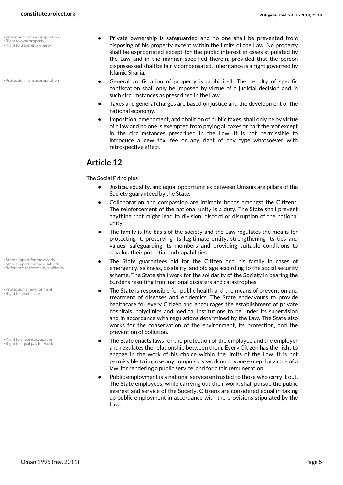- Protection from expropriation
- <span id="page-4-6"></span>• Right to own property • Right to transfer property

• Protection from expropriation

- <span id="page-4-7"></span>**•** Private ownership is safeguarded and no one shall be prevented from disposing of his property except within the limits of the Law. No property shall be expropriated except for the public interest in cases stipulated by the Law and in the manner specified therein, provided that the person dispossessed shall be fairly compensated. Inheritance is a right governed by Islamic Sharia.
- <span id="page-4-0"></span>**•** General confiscation of property is prohibited. The penalty of specific confiscation shall only be imposed by virtue of a judicial decision and in such circumstances as prescribed in the Law.
- **•** Taxes and general charges are based on justice and the development of the national economy.
- **•** Imposition, amendment, and abolition of public taxes, shall only be by virtue of a law and no one is exempted from paying all taxes or part thereof except in the circumstances prescribed in the Law. It is not permissible to introduce a new tax, fee or any right of any type whatsoever with retrospective effect.

#### **Article 12**

The Social Principles

- **•** Justice, equality, and equal opportunities between Omanis are pillars of the Society guaranteed by the State.
- **•** Collaboration and compassion are intimate bonds amongst the Citizens. The reinforcement of the national unity is a duty. The State shall prevent anything that might lead to division, discord or disruption of the national unity.
- **•** The family is the basis of the society and the Law regulates the means for protecting it, preserving its legitimate entity, strengthening its ties and values, safeguarding its members and providing suitable conditions to develop their potential and capabilities.
- <span id="page-4-9"></span><span id="page-4-8"></span><span id="page-4-2"></span>**•** The State guarantees aid for the Citizen and his family in cases of emergency, sickness, disability, and old age according to the social security scheme. The State shall work for the solidarity of the Society in bearing the burdens resulting from national disasters and catastrophes.
- <span id="page-4-1"></span>**•** The State is responsible for public health and the means of prevention and treatment of diseases and epidemics. The State endeavours to provide healthcare for every Citizen and encourages the establishment of private hospitals, polyclinics and medical institutions to be under its supervision and in accordance with regulations determined by the Law. The State also works for the conservation of the environment, its protection, and the prevention of pollution.
- <span id="page-4-4"></span><span id="page-4-3"></span>**•** The State enacts laws for the protection of the employee and the employer and regulates the relationship between them. Every Citizen has the right to engage in the work of his choice within the limits of the Law. It is not permissible to impose any compulsory work on anyone except by virtue of a law, for rendering a public service, and for a fair remuneration.
- **•** Public employment is a national service entrusted to those who carry it out. The State employees, while carrying out their work, shall pursue the public interest and service of the Society. Citizens are considered equal in taking up public employment in accordance with the provisions stipulated by the Law.
- State support for the elderly
- State support for the disabled Reference to fraternity/solidarity
- Protection of environment
- <span id="page-4-5"></span>• Right to health care
- Right to choose occupation • Right to equal pay for work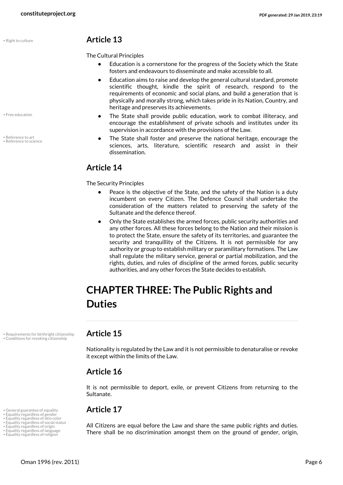<span id="page-5-13"></span>

<span id="page-5-8"></span>• Free education

<span id="page-5-11"></span><span id="page-5-10"></span>• Reference to art • Reference to science

#### • Right to culture **Article 13**

The Cultural Principles

- **•** Education is a cornerstone for the progress of the Society which the State fosters and endeavours to disseminate and make accessible to all.
- **•** Education aims to raise and develop the general cultural standard, promote scientific thought, kindle the spirit of research, respond to the requirements of economic and social plans, and build a generation that is physically and morally strong, which takes pride in its Nation, Country, and heritage and preserves its achievements.
- **•** The State shall provide public education, work to combat illiteracy, and encourage the establishment of private schools and institutes under its supervision in accordance with the provisions of the Law.
- **•** The State shall foster and preserve the national heritage, encourage the sciences, arts, literature, scientific research and assist in their dissemination.

### **Article 14**

The Security Principles

- **•** Peace is the objective of the State, and the safety of the Nation is a duty incumbent on every Citizen. The Defence Council shall undertake the consideration of the matters related to preserving the safety of the Sultanate and the defence thereof.
- **•** Only the State establishes the armed forces, public security authorities and any other forces. All these forces belong to the Nation and their mission is to protect the State, ensure the safety of its territories, and guarantee the security and tranquillity of the Citizens. It is not permissible for any authority or group to establish military or paramilitary formations. The Law shall regulate the military service, general or partial mobilization, and the rights, duties, and rules of discipline of the armed forces, public security authorities, and any other forces the State decides to establish.

# <span id="page-5-0"></span>**CHAPTER THREE: The Public Rights and Duties**

• Requirements for birthright citizenship **Article 15** • Conditions for revoking citizenship

<span id="page-5-12"></span><span id="page-5-1"></span>Nationality is regulated by the Law and it is not permissible to denaturalise or revoke it except within the limits of the Law.

### **Article 16**

It is not permissible to deport, exile, or prevent Citizens from returning to the Sultanate.

# • General guarantee of equality **Article 17** • Equality regardless of gender • Equality regardless of skin color

<span id="page-5-9"></span><span id="page-5-7"></span><span id="page-5-6"></span><span id="page-5-5"></span><span id="page-5-4"></span><span id="page-5-3"></span><span id="page-5-2"></span>All Citizens are equal before the Law and share the same public rights and duties. There shall be no discrimination amongst them on the ground of gender, origin,

- Equality regardless of social status Equality regardless of origin • Equality regardless of language
- Equality regardless of religion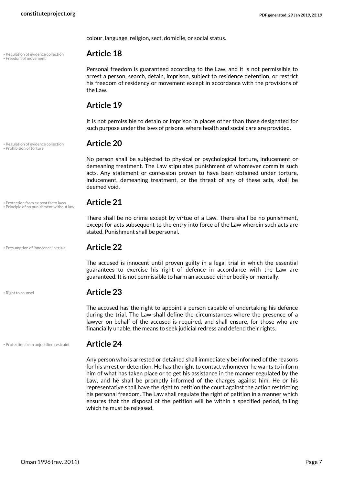• Regulation of evidence collection **Article 18** • Freedom of movement

colour, language, religion, sect, domicile, or social status.

<span id="page-6-0"></span>Personal freedom is guaranteed according to the Law, and it is not permissible to arrest a person, search, detain, imprison, subject to residence detention, or restrict his freedom of residency or movement except in accordance with the provisions of the Law.

### **Article 19**

It is not permissible to detain or imprison in places other than those designated for such purpose under the laws of prisons, where health and social care are provided.

# <span id="page-6-3"></span>• Regulation of evidence collection **Article 20** • Prohibition of torture

<span id="page-6-6"></span>No person shall be subjected to physical or psychological torture, inducement or demeaning treatment. The Law stipulates punishment of whomever commits such acts. Any statement or confession proven to have been obtained under torture, inducement, demeaning treatment, or the threat of any of these acts, shall be deemed void.

# • Protection from ex post facto laws **Article 21** • Principle of no punishment without law

<span id="page-6-4"></span><span id="page-6-2"></span>There shall be no crime except by virtue of a Law. There shall be no punishment, except for acts subsequent to the entry into force of the Law wherein such acts are stated. Punishment shall be personal.

• Presumption of innocence in trials **Article 22** 

<span id="page-6-1"></span>The accused is innocent until proven guilty in a legal trial in which the essential guarantees to exercise his right of defence in accordance with the Law are guaranteed. It is not permissible to harm an accused either bodily or mentally.

### <span id="page-6-7"></span>• Right to counsel **Article 23**

The accused has the right to appoint a person capable of undertaking his defence during the trial. The Law shall define the circumstances where the presence of a lawyer on behalf of the accused is required, and shall ensure, for those who are financially unable, the means to seek judicial redress and defend their rights.

#### • Protection from unjustified restraint **Article 24**

<span id="page-6-5"></span>

Any person who is arrested or detained shall immediately be informed of the reasons for his arrest or detention. He has the right to contact whomever he wants to inform him of what has taken place or to get his assistance in the manner regulated by the Law, and he shall be promptly informed of the charges against him. He or his representative shall have the right to petition the court against the action restricting his personal freedom. The Law shall regulate the right of petition in a manner which ensures that the disposal of the petition will be within a specified period, failing which he must be released.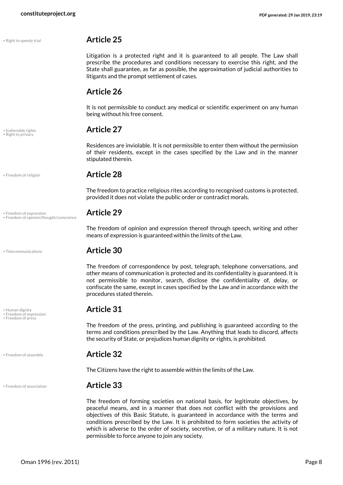<span id="page-7-9"></span>

# <span id="page-7-8"></span><span id="page-7-7"></span>• Inalienable rights **Article 27** • Right to privacy

• Right to speedy trial **Article 25**

Litigation is a protected right and it is guaranteed to all people. The Law shall prescribe the procedures and conditions necessary to exercise this right, and the State shall guarantee, as far as possible, the approximation of judicial authorities to litigants and the prompt settlement of cases.

### **Article 26**

It is not permissible to conduct any medical or scientific experiment on any human being without his free consent.

Residences are inviolable. It is not permissible to enter them without the permission of their residents, except in the cases specified by the Law and in the manner stipulated therein.

<span id="page-7-5"></span>

#### • Freedom of religion **Article 28**

The freedom to practice religious rites according to recognised customs is protected, provided it does not violate the public order or contradict morals.

<span id="page-7-3"></span>The freedom of opinion and expression thereof through speech, writing and other means of expression is guaranteed within the limits of the Law.

#### • Telecommunications **Article 30**

The freedom of correspondence by post, telegraph, telephone conversations, and other means of communication is protected and its confidentiality is guaranteed. It is not permissible to monitor, search, disclose the confidentiality of, delay, or confiscate the same, except in cases specified by the Law and in accordance with the procedures stated therein.

<span id="page-7-2"></span>The freedom of the press, printing, and publishing is guaranteed according to the terms and conditions prescribed by the Law. Anything that leads to discord, affects the security of State, or prejudices human dignity or rights, is prohibited.

#### • Freedom of assembly **Article 32**

The Citizens have the right to assemble within the limits of the Law.

#### • Freedom of association **Article 33**

<span id="page-7-1"></span>The freedom of forming societies on national basis, for legitimate objectives, by peaceful means, and in a manner that does not conflict with the provisions and objectives of this Basic Statute, is guaranteed in accordance with the terms and conditions prescribed by the Law. It is prohibited to form societies the activity of which is adverse to the order of society, secretive, or of a military nature. It is not permissible to force anyone to join any society.

• Freedom of expression **Article 29** • Freedom of opinion/thought/conscience

<span id="page-7-10"></span>

<span id="page-7-6"></span><span id="page-7-4"></span>• Human dignity **Article 31** • Freedom of expression • Freedom of press

<span id="page-7-0"></span>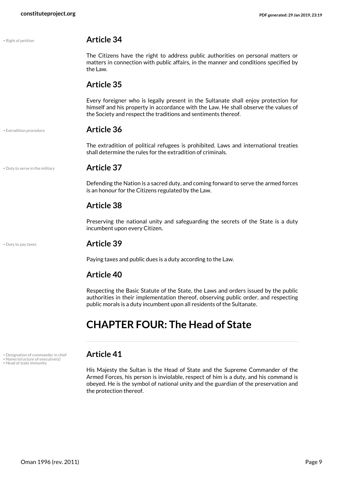<span id="page-8-7"></span><span id="page-8-4"></span>

| • Right of petition             | <b>Article 34</b>                                                                                                                                                                                                                           |
|---------------------------------|---------------------------------------------------------------------------------------------------------------------------------------------------------------------------------------------------------------------------------------------|
|                                 | The Citizens have the right to address public authorities on personal matters or<br>matters in connection with public affairs, in the manner and conditions specified by<br>the Law.                                                        |
|                                 | <b>Article 35</b>                                                                                                                                                                                                                           |
|                                 | Every foreigner who is legally present in the Sultanate shall enjoy protection for<br>himself and his property in accordance with the Law. He shall observe the values of<br>the Society and respect the traditions and sentiments thereof. |
| · Extradition procedure         | <b>Article 36</b>                                                                                                                                                                                                                           |
|                                 | The extradition of political refugees is prohibited. Laws and international treaties<br>shall determine the rules for the extradition of criminals.                                                                                         |
| . Duty to serve in the military | <b>Article 37</b>                                                                                                                                                                                                                           |
|                                 | Defending the Nation is a sacred duty, and coming forward to serve the armed forces<br>is an honour for the Citizens regulated by the Law.                                                                                                  |
|                                 | <b>Article 38</b>                                                                                                                                                                                                                           |
|                                 | Preserving the national unity and safeguarding the secrets of the State is a duty<br>incumbent upon every Citizen.                                                                                                                          |
| • Duty to pay taxes             | <b>Article 39</b>                                                                                                                                                                                                                           |
|                                 | Paying taxes and public dues is a duty according to the Law.                                                                                                                                                                                |
|                                 | <b>Article 40</b>                                                                                                                                                                                                                           |

<span id="page-8-3"></span><span id="page-8-2"></span>Respecting the Basic Statute of the State, the Laws and orders issued by the public authorities in their implementation thereof, observing public order, and respecting public morals is a duty incumbent upon all residents of the Sultanate.

# <span id="page-8-0"></span>**CHAPTER FOUR: The Head of State**

• Designation of commander in chief **Article 41** • Name/structure of executive(s) • Head of state immunity

<span id="page-8-6"></span><span id="page-8-5"></span><span id="page-8-1"></span>His Majesty the Sultan is the Head of State and the Supreme Commander of the Armed Forces, his person is inviolable, respect of him is a duty, and his command is obeyed. He is the symbol of national unity and the guardian of the preservation and the protection thereof.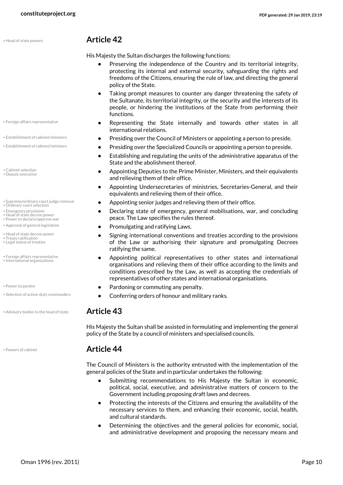<span id="page-9-8"></span>

#### • Foreign affairs representative

- 
- 
- <span id="page-9-3"></span><span id="page-9-2"></span>• Cabinet selection • Deputy executive
- Supreme/ordinary court judge removal<br>• Ordinary court selection
- <span id="page-9-16"></span><span id="page-9-11"></span><span id="page-9-4"></span>
- Emergency provisions
- Head of state decree power • Power to declare/approve war
- <span id="page-9-12"></span><span id="page-9-1"></span>
- <span id="page-9-7"></span>• Head of state decree power
- <span id="page-9-17"></span><span id="page-9-10"></span>• Treaty ratification • Legal status of treaties
- <span id="page-9-9"></span><span id="page-9-6"></span>• Foreign affairs representative • International organizations
- 
- 
- Advisory bodies to the head of state **Article 43**

<span id="page-9-14"></span>

#### • Head of state powers **Article 42**

His Majesty the Sultan discharges the following functions:

- **•** Preserving the independence of the Country and its territorial integrity, protecting its internal and external security, safeguarding the rights and freedoms of the Citizens, ensuring the rule of law, and directing the general policy of the State.
- **•** Taking prompt measures to counter any danger threatening the safety of the Sultanate, its territorial integrity, or the security and the interests of its people, or hindering the institutions of the State from performing their functions.
- <span id="page-9-5"></span>**•** Representing the State internally and towards other states in all international relations.
- Establishment of cabinet/ministers **•** Presiding over the Council of Ministers or appointing a person to preside.
- Establishment of cabinet/ministers **• Presiding over the Specialized Councils or appointing a person to preside.** 
	- **•** Establishing and regulating the units of the administrative apparatus of the State and the abolishment thereof.
	- **•** Appointing Deputies to the Prime Minister, Ministers, and their equivalents and relieving them of their office.
	- **•** Appointing Undersecretaries of ministries, Secretaries-General, and their equivalents and relieving them of their office.
	- Appointing senior judges and relieving them of their office.
	- **•** Declaring state of emergency, general mobilisations, war, and concluding peace. The Law specifies the rules thereof.
- Approval of general legislation  **Approval of general legislation Promulgating and ratifying Laws.** 
	- **•** Signing international conventions and treaties according to the provisions of the Law or authorising their signature and promulgating Decrees ratifying the same.
	- **•** Appointing political representatives to other states and international organisations and relieving them of their office according to the limits and conditions prescribed by the Law, as well as accepting the credentials of representatives of other states and international organisations.
- <span id="page-9-13"></span>• Power to pardon **the commuting any penalty.** • **Pardoning or commuting any penalty.**
- Selection of active-duty commanders **•** Conferring orders of honour and military ranks.

<span id="page-9-15"></span><span id="page-9-0"></span>His Majesty the Sultan shall be assisted in formulating and implementing the general policy of the State by a council of ministers and specialised councils.

#### • Powers of cabinet **Article 44**

The Council of Ministers is the authority entrusted with the implementation of the general policies of the State and in particular undertakes the following:

- **•** Submitting recommendations to His Majesty the Sultan in economic, political, social, executive, and administrative matters of concern to the Government including proposing draft laws and decrees.
- **•** Protecting the interests of the Citizens and ensuring the availability of the necessary services to them, and enhancing their economic, social, health, and cultural standards.
- **•** Determining the objectives and the general policies for economic, social, and administrative development and proposing the necessary means and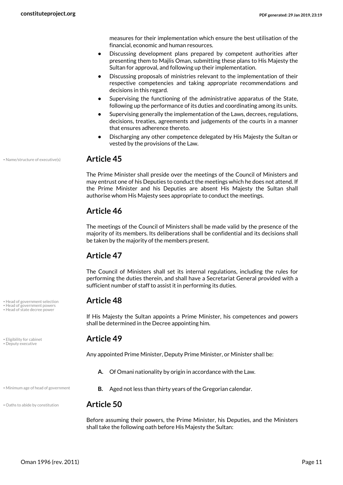measures for their implementation which ensure the best utilisation of the financial, economic and human resources.

- **•** Discussing development plans prepared by competent authorities after presenting them to Majlis Oman, submitting these plans to His Majesty the Sultan for approval, and following up their implementation.
- **•** Discussing proposals of ministries relevant to the implementation of their respective competencies and taking appropriate recommendations and decisions in this regard.
- **•** Supervising the functioning of the administrative apparatus of the State, following up the performance of its duties and coordinating among its units.
- **•** Supervising generally the implementation of the Laws, decrees, regulations, decisions, treaties, agreements and judgements of the courts in a manner that ensures adherence thereto.
- **•** Discharging any other competence delegated by His Majesty the Sultan or vested by the provisions of the Law.

• Name/structure of executive(s) **Article 45**

<span id="page-10-6"></span>The Prime Minister shall preside over the meetings of the Council of Ministers and may entrust one of his Deputies to conduct the meetings which he does not attend. If the Prime Minister and his Deputies are absent His Majesty the Sultan shall authorise whom His Majesty sees appropriate to conduct the meetings.

### **Article 46**

The meetings of the Council of Ministers shall be made valid by the presence of the majority of its members. Its deliberations shall be confidential and its decisions shall be taken by the majority of the members present.

### **Article 47**

The Council of Ministers shall set its internal regulations, including the rules for performing the duties therein, and shall have a Secretariat General provided with a sufficient number of staff to assist it in performing its duties.

<span id="page-10-4"></span><span id="page-10-3"></span><span id="page-10-2"></span>If His Majesty the Sultan appoints a Prime Minister, his competences and powers shall be determined in the Decree appointing him.

Any appointed Prime Minister, Deputy Prime Minister, or Minister shall be:

- <span id="page-10-5"></span>**A.** Of Omani nationality by origin in accordance with the Law.
- Minimum age of head of government **B.** Aged not less than thirty years of the Gregorian calendar.

<span id="page-10-7"></span>Before assuming their powers, the Prime Minister, his Deputies, and the Ministers shall take the following oath before His Majesty the Sultan:

• Head of government selection **Article 48** • Head of government powers

• Head of state decree power

<span id="page-10-1"></span><span id="page-10-0"></span>• Eligibility for cabinet **Article 49** • Deputy executive

• Oaths to abide by constitution **Article 50**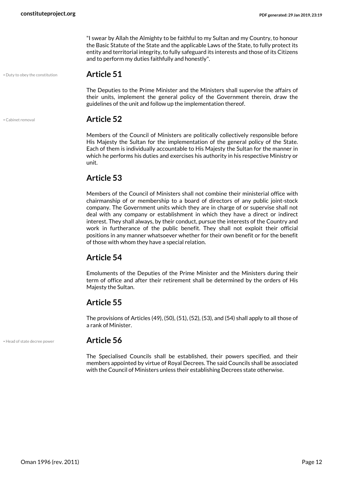"I swear by Allah the Almighty to be faithful to my Sultan and my Country, to honour the Basic Statute of the State and the applicable Laws of the State, to fully protect its entity and territorial integrity, to fully safeguard its interests and those of its Citizens and to perform my duties faithfully and honestly".

• Duty to obey the constitution **Article 51**

<span id="page-11-1"></span>The Deputies to the Prime Minister and the Ministers shall supervise the affairs of their units, implement the general policy of the Government therein, draw the guidelines of the unit and follow up the implementation thereof.

#### <span id="page-11-0"></span>• Cabinet removal **Article 52**

Members of the Council of Ministers are politically collectively responsible before His Majesty the Sultan for the implementation of the general policy of the State. Each of them is individually accountable to His Majesty the Sultan for the manner in which he performs his duties and exercises his authority in his respective Ministry or unit.

### **Article 53**

Members of the Council of Ministers shall not combine their ministerial office with chairmanship of or membership to a board of directors of any public joint-stock company. The Government units which they are in charge of or supervise shall not deal with any company or establishment in which they have a direct or indirect interest. They shall always, by their conduct, pursue the interests of the Country and work in furtherance of the public benefit. They shall not exploit their official positions in any manner whatsoever whether for their own benefit or for the benefit of those with whom they have a special relation.

### **Article 54**

Emoluments of the Deputies of the Prime Minister and the Ministers during their term of office and after their retirement shall be determined by the orders of His Majesty the Sultan.

### **Article 55**

The provisions of Articles (49), (50), (51), (52), (53), and (54) shall apply to all those of a rank of Minister.

#### • Head of state decree power **Article 56**

<span id="page-11-2"></span>The Specialised Councils shall be established, their powers specified, and their members appointed by virtue of Royal Decrees. The said Councils shall be associated with the Council of Ministers unless their establishing Decrees state otherwise.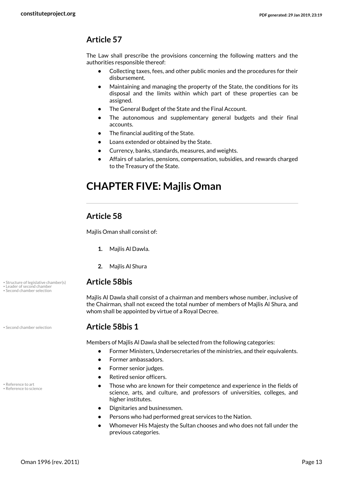### **Article 57**

The Law shall prescribe the provisions concerning the following matters and the authorities responsible thereof:

- **•** Collecting taxes, fees, and other public monies and the procedures for their disbursement.
- **•** Maintaining and managing the property of the State, the conditions for its disposal and the limits within which part of these properties can be assigned.
- **•** The General Budget of the State and the Final Account.
- **•** The autonomous and supplementary general budgets and their final accounts.
- **•** The financial auditing of the State.
- **•** Loans extended or obtained by the State.
- **•** Currency, banks, standards, measures, and weights.
- <span id="page-12-0"></span>**•** Affairs of salaries, pensions, compensation, subsidies, and rewards charged to the Treasury of the State.

# **CHAPTER FIVE: Majlis Oman**

### **Article 58**

Majlis Oman shall consist of:

- **1.** Majlis Al Dawla.
- **2.** Majlis Al Shura

#### • Structure of legislative chamber(s) **Article 58bis**

<span id="page-12-5"></span><span id="page-12-1"></span>Majlis Al Dawla shall consist of a chairman and members whose number, inclusive of the Chairman, shall not exceed the total number of members of Majlis Al Shura, and whom shall be appointed by virtue of a Royal Decree.

#### • Second chamber selection **Article 58bis 1**

<span id="page-12-4"></span>Members of Majlis Al Dawla shall be selected from the following categories:

- **•** Former Ministers, Undersecretaries of the ministries, and their equivalents.
- **•** Former ambassadors.
- **•** Former senior judges.
- **•** Retired senior officers.
- **•** Those who are known for their competence and experience in the fields of science, arts, and culture, and professors of universities, colleges, and higher institutes.
- **•** Dignitaries and businessmen.
- **•** Persons who had performed great services to the Nation.
- **•** Whomever His Majesty the Sultan chooses and who does not fall under the previous categories.

• Leader of second chamber • Second chamber selection

<span id="page-12-3"></span><span id="page-12-2"></span>• Reference to art • Reference to science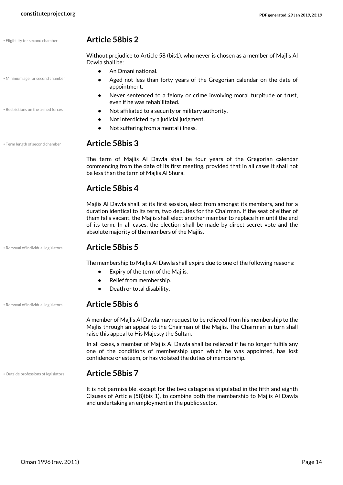• Minimum age for second chamber

#### • Eligibility for second chamber **Article 58bis 2**

<span id="page-13-1"></span><span id="page-13-0"></span>Without prejudice to Article 58 (bis1), whomever is chosen as a member of Majlis Al Dawla shall be:

- **•** An Omani national.
- **•** Aged not less than forty years of the Gregorian calendar on the date of appointment.
- <span id="page-13-4"></span>**•** Never sentenced to a felony or crime involving moral turpitude or trust, even if he was rehabilitated.
- Restrictions on the armed forces  **Not affiliated to a security or military authority.** 
	- **•** Not interdicted by a judicial judgment.
	- **•** Not suffering from a mental illness.

#### • Term length of second chamber **Article 58bis 3**

<span id="page-13-5"></span>The term of Majlis Al Dawla shall be four years of the Gregorian calendar commencing from the date of its first meeting, provided that in all cases it shall not be less than the term of Majlis Al Shura.

#### **Article 58bis 4**

Majlis Al Dawla shall, at its first session, elect from amongst its members, and for a duration identical to its term, two deputies for the Chairman. If the seat of either of them falls vacant, the Majlis shall elect another member to replace him until the end of its term. In all cases, the election shall be made by direct secret vote and the absolute majority of the members of the Majlis.

#### • Removal of individual legislators **Article 58bis 5**

The membership to Majlis Al Dawla shall expire due to one of the following reasons:

- **•** Expiry of the term of the Majlis.
- **•** Relief from membership.
- **•** Death or total disability.

#### • Removal of individual legislators **Article 58bis 6**

<span id="page-13-3"></span>A member of Majlis Al Dawla may request to be relieved from his membership to the Majlis through an appeal to the Chairman of the Majlis. The Chairman in turn shall raise this appeal to His Majesty the Sultan.

In all cases, a member of Majlis Al Dawla shall be relieved if he no longer fulfils any one of the conditions of membership upon which he was appointed, has lost confidence or esteem, or has violated the duties of membership.

#### • Outside professions of legislators **Article 58bis 7**

<span id="page-13-2"></span>It is not permissible, except for the two categories stipulated in the fifth and eighth Clauses of Article (58)(bis 1), to combine both the membership to Majlis Al Dawla and undertaking an employment in the public sector.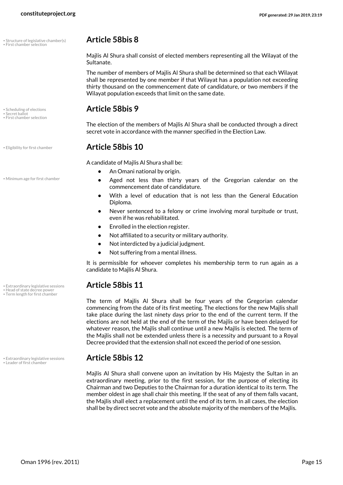• Structure of legislative chamber(s) **Article 58bis 8** • First chamber selection

<span id="page-14-7"></span>• First chamber selection

• Minimum age for first chamber

• Term length for first chamber

<span id="page-14-6"></span>

<span id="page-14-8"></span>Majlis Al Shura shall consist of elected members representing all the Wilayat of the Sultanate.

The number of members of Majlis Al Shura shall be determined so that each Wilayat shall be represented by one member if that Wilayat has a population not exceeding thirty thousand on the commencement date of candidature, or two members if the Wilayat population exceeds that limit on the same date.

# • Scheduling of elections **Article 58bis 9** • Secret ballot

<span id="page-14-2"></span>The election of the members of Majlis Al Shura shall be conducted through a direct secret vote in accordance with the manner specified in the Election Law.

### • Eligibility for first chamber **Article 58bis 10**

<span id="page-14-5"></span><span id="page-14-0"></span>A candidate of Majlis Al Shura shall be:

- **•** An Omani national by origin.
- **•** Aged not less than thirty years of the Gregorian calendar on the commencement date of candidature.
- **•** With a level of education that is not less than the General Education Diploma.
- **•** Never sentenced to a felony or crime involving moral turpitude or trust, even if he was rehabilitated.
- **•** Enrolled in the election register.
- **•** Not affiliated to a security or military authority.
- **•** Not interdicted by a judicial judgment.
- **•** Not suffering from a mental illness.

It is permissible for whoever completes his membership term to run again as a candidate to Majlis Al Shura.

# • Extraordinary legislative sessions **Article 58bis 11** • Head of state decree power

<span id="page-14-9"></span><span id="page-14-3"></span>The term of Majlis Al Shura shall be four years of the Gregorian calendar commencing from the date of its first meeting. The elections for the new Majlis shall take place during the last ninety days prior to the end of the current term. If the elections are not held at the end of the term of the Majlis or have been delayed for whatever reason, the Majlis shall continue until a new Majlis is elected. The term of the Majlis shall not be extended unless there is a necessity and pursuant to a Royal Decree provided that the extension shall not exceed the period of one session.

# • Extraordinary legislative sessions **Article 58bis 12** • Leader of first chamber

<span id="page-14-4"></span><span id="page-14-1"></span>Majlis Al Shura shall convene upon an invitation by His Majesty the Sultan in an extraordinary meeting, prior to the first session, for the purpose of electing its Chairman and two Deputies to the Chairman for a duration identical to its term. The member oldest in age shall chair this meeting. If the seat of any of them falls vacant, the Majlis shall elect a replacement until the end of its term. In all cases, the election shall be by direct secret vote and the absolute majority of the members of the Majlis.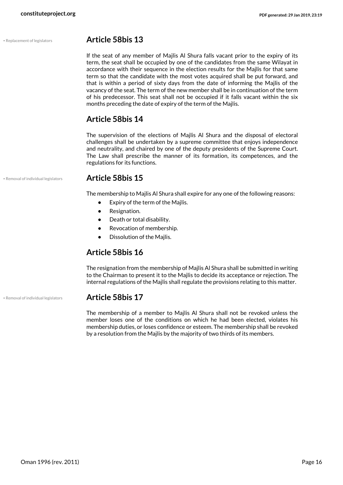#### • Replacement of legislators **Article 58bis 13**

<span id="page-15-1"></span>If the seat of any member of Majlis Al Shura falls vacant prior to the expiry of its term, the seat shall be occupied by one of the candidates from the same Wilayat in accordance with their sequence in the election results for the Majlis for that same term so that the candidate with the most votes acquired shall be put forward, and that is within a period of sixty days from the date of informing the Majlis of the vacancy of the seat. The term of the new member shall be in continuation of the term of his predecessor. This seat shall not be occupied if it falls vacant within the six months preceding the date of expiry of the term of the Majlis.

### **Article 58bis 14**

The supervision of the elections of Majlis Al Shura and the disposal of electoral challenges shall be undertaken by a supreme committee that enjoys independence and neutrality, and chaired by one of the deputy presidents of the Supreme Court. The Law shall prescribe the manner of its formation, its competences, and the regulations for its functions.

#### • Removal of individual legislators **Article 58bis 15**

The membership to Majlis Al Shura shall expire for any one of the following reasons:

- **•** Expiry of the term of the Majlis.
- **•** Resignation.
- **•** Death or total disability.
- **•** Revocation of membership.
- **•** Dissolution of the Majlis.

### **Article 58bis 16**

The resignation from the membership of Majlis Al Shura shall be submitted in writing to the Chairman to present it to the Majlis to decide its acceptance or rejection. The internal regulations of the Majlis shall regulate the provisions relating to this matter.

#### • Removal of individual legislators **Article 58bis 17**

<span id="page-15-0"></span>The membership of a member to Majlis Al Shura shall not be revoked unless the member loses one of the conditions on which he had been elected, violates his membership duties, or loses confidence or esteem. The membership shall be revoked by a resolution from the Majlis by the majority of two thirds of its members.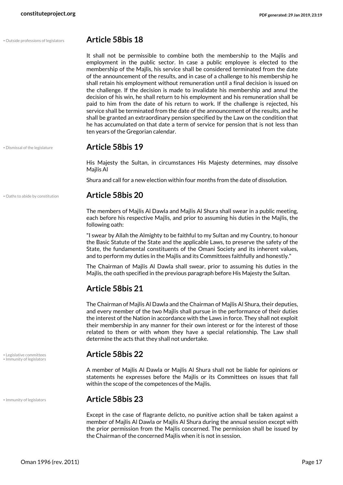#### • Outside professions of legislators **Article 58bis 18**

<span id="page-16-4"></span>It shall not be permissible to combine both the membership to the Majlis and employment in the public sector. In case a public employee is elected to the membership of the Majlis, his service shall be considered terminated from the date of the announcement of the results, and in case of a challenge to his membership he shall retain his employment without remuneration until a final decision is issued on the challenge. If the decision is made to invalidate his membership and annul the decision of his win, he shall return to his employment and his remuneration shall be paid to him from the date of his return to work. If the challenge is rejected, his service shall be terminated from the date of the announcement of the results, and he shall be granted an extraordinary pension specified by the Law on the condition that he has accumulated on that date a term of service for pension that is not less than ten years of the Gregorian calendar.

#### • Dismissal of the legislature **Article 58bis 19**

<span id="page-16-0"></span>His Majesty the Sultan, in circumstances His Majesty determines, may dissolve Majlis Al

Shura and call for a new election within four months from the date of dissolution.

#### • Oaths to abide by constitution **Article 58bis 20**

<span id="page-16-3"></span>The members of Majlis Al Dawla and Majlis Al Shura shall swear in a public meeting, each before his respective Majlis, and prior to assuming his duties in the Majlis, the following oath:

"I swear by Allah the Almighty to be faithful to my Sultan and my Country, to honour the Basic Statute of the State and the applicable Laws, to preserve the safety of the State, the fundamental constituents of the Omani Society and its inherent values, and to perform my duties in the Majlis and its Committees faithfully and honestly."

The Chairman of Majlis Al Dawla shall swear, prior to assuming his duties in the Majlis, the oath specified in the previous paragraph before His Majesty the Sultan.

### **Article 58bis 21**

The Chairman of Majlis Al Dawla and the Chairman of Majlis Al Shura, their deputies, and every member of the two Majlis shall pursue in the performance of their duties the interest of the Nation in accordance with the Laws in force. They shall not exploit their membership in any manner for their own interest or for the interest of those related to them or with whom they have a special relationship. The Law shall determine the acts that they shall not undertake.

# • Legislative committees **Article 58bis 22** • Immunity of legislators

A member of Majlis Al Dawla or Majlis Al Shura shall not be liable for opinions or statements he expresses before the Majlis or its Committees on issues that fall within the scope of the competences of the Majlis.

#### • Immunity of legislators **Article 58bis 23**

Except in the case of flagrante delicto, no punitive action shall be taken against a member of Majlis Al Dawla or Majlis Al Shura during the annual session except with the prior permission from the Majlis concerned. The permission shall be issued by the Chairman of the concerned Majlis when it is not in session.

<span id="page-16-2"></span>

<span id="page-16-1"></span>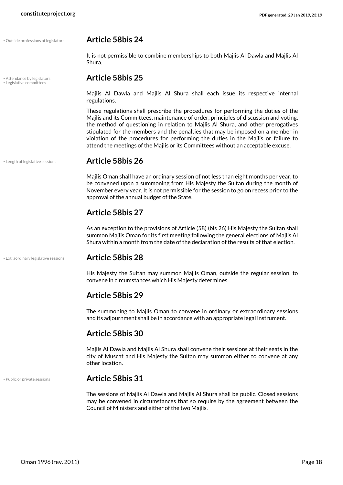#### • Outside professions of legislators **Article 58bis 24**

<span id="page-17-4"></span>It is not permissible to combine memberships to both Majlis Al Dawla and Majlis Al Shura.

### • Attendance by legislators **Article 58bis 25** • Legislative committees

<span id="page-17-2"></span><span id="page-17-0"></span>Majlis Al Dawla and Majlis Al Shura shall each issue its respective internal regulations.

These regulations shall prescribe the procedures for performing the duties of the Majlis and its Committees, maintenance of order, principles of discussion and voting, the method of questioning in relation to Majlis Al Shura, and other prerogatives stipulated for the members and the penalties that may be imposed on a member in violation of the procedures for performing the duties in the Majlis or failure to attend the meetings of the Majlis or its Committees without an acceptable excuse.

#### • Length of legislative sessions **Article 58bis 26**

<span id="page-17-3"></span>Majlis Oman shall have an ordinary session of not less than eight months per year, to be convened upon a summoning from His Majesty the Sultan during the month of November every year. It is not permissible for the session to go on recess prior to the approval of the annual budget of the State.

#### **Article 58bis 27**

As an exception to the provisions of Article (58) (bis 26) His Majesty the Sultan shall summon Majlis Oman for its first meeting following the general elections of Majlis Al Shura within a month from the date of the declaration of the results of that election.

#### • Extraordinary legislative sessions **Article 58bis 28**

<span id="page-17-1"></span>His Majesty the Sultan may summon Majlis Oman, outside the regular session, to convene in circumstances which His Majesty determines.

#### **Article 58bis 29**

The summoning to Majlis Oman to convene in ordinary or extraordinary sessions and its adjournment shall be in accordance with an appropriate legal instrument.

#### **Article 58bis 30**

Majlis Al Dawla and Majlis Al Shura shall convene their sessions at their seats in the city of Muscat and His Majesty the Sultan may summon either to convene at any other location.

#### • Public or private sessions **Article 58bis 31**

<span id="page-17-5"></span>The sessions of Majlis Al Dawla and Majlis Al Shura shall be public. Closed sessions may be convened in circumstances that so require by the agreement between the Council of Ministers and either of the two Majlis.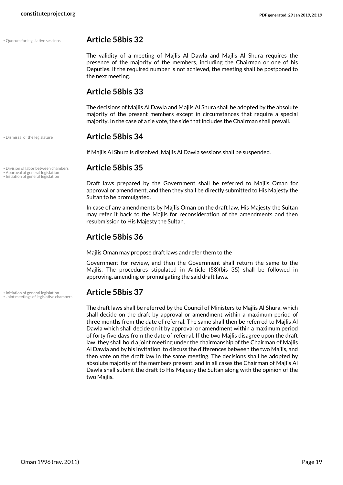#### • Quorum for legislative sessions **Article 58bis 32**

<span id="page-18-5"></span>The validity of a meeting of Majlis Al Dawla and Majlis Al Shura requires the presence of the majority of the members, including the Chairman or one of his Deputies. If the required number is not achieved, the meeting shall be postponed to the next meeting.

### **Article 58bis 33**

The decisions of Majlis Al Dawla and Majlis Al Shura shall be adopted by the absolute majority of the present members except in circumstances that require a special majority. In the case of a tie vote, the side that includes the Chairman shall prevail.

#### • Dismissal of the legislature **Article 58bis 34**

<span id="page-18-1"></span>If Majlis Al Shura is dissolved, Majlis Al Dawla sessions shall be suspended.

#### • Division of labor between chambers **Article 58bis 35**

<span id="page-18-2"></span><span id="page-18-0"></span>Draft laws prepared by the Government shall be referred to Majlis Oman for approval or amendment, and then they shall be directly submitted to His Majesty the Sultan to be promulgated.

In case of any amendments by Majlis Oman on the draft law, His Majesty the Sultan may refer it back to the Majlis for reconsideration of the amendments and then resubmission to His Majesty the Sultan.

### **Article 58bis 36**

Majlis Oman may propose draft laws and refer them to the

Government for review, and then the Government shall return the same to the Majlis. The procedures stipulated in Article (58)(bis 35) shall be followed in approving, amending or promulgating the said draft laws.

<span id="page-18-4"></span><span id="page-18-3"></span>The draft laws shall be referred by the Council of Ministers to Majlis Al Shura, which shall decide on the draft by approval or amendment within a maximum period of three months from the date of referral. The same shall then be referred to Majlis Al Dawla which shall decide on it by approval or amendment within a maximum period of forty five days from the date of referral. If the two Majlis disagree upon the draft law, they shall hold a joint meeting under the chairmanship of the Chairman of Majlis Al Dawla and by his invitation, to discuss the differences between the two Majlis, and then vote on the draft law in the same meeting. The decisions shall be adopted by absolute majority of the members present, and in all cases the Chairman of Majlis Al Dawla shall submit the draft to His Majesty the Sultan along with the opinion of the two Majlis.

• Approval of general legislation<br>• Initiation of general legislation

• Initiation of general legislation **Article 58bis 37** • Joint meetings of legislative chambers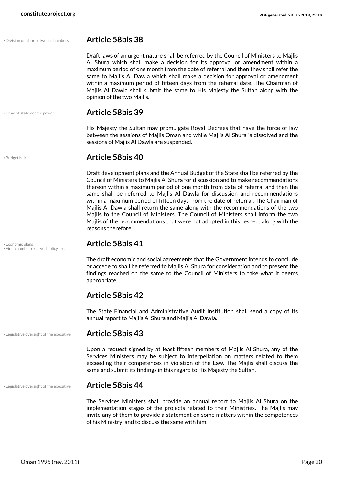<span id="page-19-1"></span>Draft laws of an urgent nature shall be referred by the Council of Ministers to Majlis Al Shura which shall make a decision for its approval or amendment within a maximum period of one month from the date of referral and then they shall refer the same to Majlis Al Dawla which shall make a decision for approval or amendment within a maximum period of fifteen days from the referral date. The Chairman of Majlis Al Dawla shall submit the same to His Majesty the Sultan along with the opinion of the two Majlis.

#### • Head of state decree power **Article 58bis 39**

<span id="page-19-4"></span>His Majesty the Sultan may promulgate Royal Decrees that have the force of law between the sessions of Majlis Oman and while Majlis Al Shura is dissolved and the sessions of Majlis Al Dawla are suspended.

#### <span id="page-19-0"></span>• Budget bills **Article 58bis 40**

Draft development plans and the Annual Budget of the State shall be referred by the Council of Ministers to Majlis Al Shura for discussion and to make recommendations thereon within a maximum period of one month from date of referral and then the same shall be referred to Majlis Al Dawla for discussion and recommendations within a maximum period of fifteen days from the date of referral. The Chairman of Majlis Al Dawla shall return the same along with the recommendations of the two Majlis to the Council of Ministers. The Council of Ministers shall inform the two Majlis of the recommendations that were not adopted in this respect along with the reasons therefore.

<span id="page-19-3"></span>The draft economic and social agreements that the Government intends to conclude or accede to shall be referred to Majlis Al Shura for consideration and to present the findings reached on the same to the Council of Ministers to take what it deems appropriate.

#### **Article 58bis 42**

The State Financial and Administrative Audit Institution shall send a copy of its annual report to Majlis Al Shura and Majlis Al Dawla.

#### • Legislative oversight of the executive **Article 58bis 43**

Upon a request signed by at least fifteen members of Majlis Al Shura, any of the Services Ministers may be subject to interpellation on matters related to them exceeding their competences in violation of the Law. The Majlis shall discuss the same and submit its findings in this regard to His Majesty the Sultan.

#### • Legislative oversight of the executive **Article 58bis 44**

<span id="page-19-5"></span>The Services Ministers shall provide an annual report to Majlis Al Shura on the implementation stages of the projects related to their Ministries. The Majlis may invite any of them to provide a statement on some matters within the competences of his Ministry, and to discuss the same with him.

• Division of lab

<span id="page-19-2"></span>• Economic plans **Article 58bis 41** • First chamber reserved policy areas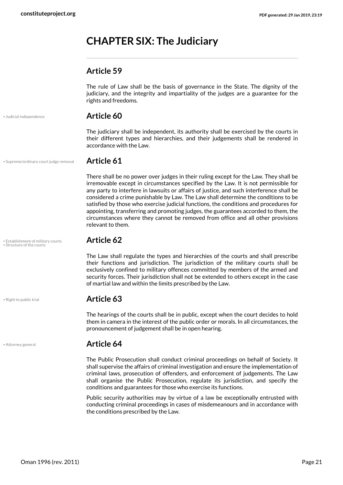# <span id="page-20-0"></span>**CHAPTER SIX: The Judiciary**

#### **Article 59**

The rule of Law shall be the basis of governance in the State. The dignity of the judiciary, and the integrity and impartiality of the judges are a guarantee for the rights and freedoms.

<span id="page-20-3"></span>

#### • Judicial independence **Article 60**

The judiciary shall be independent, its authority shall be exercised by the courts in their different types and hierarchies, and their judgements shall be rendered in accordance with the Law.

• Supreme/ordinary court judge removal **Article 61**

<span id="page-20-6"></span>There shall be no power over judges in their ruling except for the Law. They shall be irremovable except in circumstances specified by the Law. It is not permissible for any party to interfere in lawsuits or affairs of justice, and such interference shall be considered a crime punishable by Law. The Law shall determine the conditions to be satisfied by those who exercise judicial functions, the conditions and procedures for appointing, transferring and promoting judges, the guarantees accorded to them, the circumstances where they cannot be removed from office and all other provisions relevant to them.

• Establishment of military courts **Article 62** • Structure of the courts

<span id="page-20-5"></span><span id="page-20-2"></span>The Law shall regulate the types and hierarchies of the courts and shall prescribe their functions and jurisdiction. The jurisdiction of the military courts shall be exclusively confined to military offences committed by members of the armed and security forces. Their jurisdiction shall not be extended to others except in the case of martial law and within the limits prescribed by the Law.

#### <span id="page-20-4"></span>• Right to public trial **Article 63**

The hearings of the courts shall be in public, except when the court decides to hold them in camera in the interest of the public order or morals. In all circumstances, the pronouncement of judgement shall be in open hearing.

#### • Attorney general **Article 64**

The Public Prosecution shall conduct criminal proceedings on behalf of Society. It shall supervise the affairs of criminal investigation and ensure the implementation of criminal laws, prosecution of offenders, and enforcement of judgements. The Law shall organise the Public Prosecution, regulate its jurisdiction, and specify the conditions and guarantees for those who exercise its functions.

Public security authorities may by virtue of a law be exceptionally entrusted with conducting criminal proceedings in cases of misdemeanours and in accordance with the conditions prescribed by the Law.

<span id="page-20-1"></span>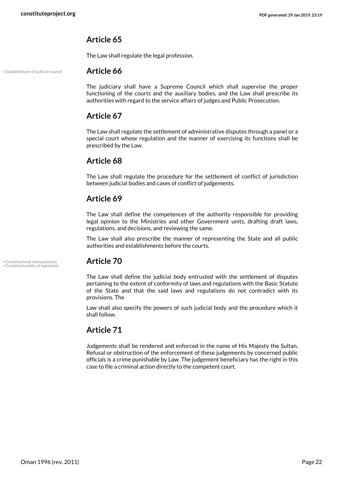#### **Article 65**

The Law shall regulate the legal profession.

• Establishment of judicial council **Article 66**

<span id="page-21-2"></span>The judiciary shall have a Supreme Council which shall supervise the proper functioning of the courts and the auxiliary bodies, and the Law shall prescribe its authorities with regard to the service affairs of judges and Public Prosecution.

#### **Article 67**

The Law shall regulate the settlement of administrative disputes through a panel or a special court whose regulation and the manner of exercising its functions shall be prescribed by the Law.

#### **Article 68**

The Law shall regulate the procedure for the settlement of conflict of jurisdiction between judicial bodies and cases of conflict of judgements.

#### **Article 69**

The Law shall define the competences of the authority responsible for providing legal opinion to the Ministries and other Government units, drafting draft laws, regulations, and decisions, and reviewing the same.

The Law shall also prescribe the manner of representing the State and all public authorities and establishments before the courts.

• Constitutional interpretation **Article 70** • Constitutionality of legislation

<span id="page-21-1"></span><span id="page-21-0"></span>The Law shall define the judicial body entrusted with the settlement of disputes pertaining to the extent of conformity of laws and regulations with the Basic Statute of the State and that the said laws and regulations do not contradict with its provisions. The

Law shall also specify the powers of such judicial body and the procedure which it shall follow.

### **Article 71**

Judgements shall be rendered and enforced in the name of His Majesty the Sultan. Refusal or obstruction of the enforcement of these judgements by concerned public officials is a crime punishable by Law. The judgement beneficiary has the right in this case to file a criminal action directly to the competent court.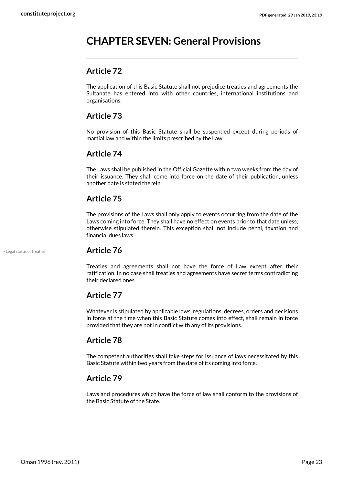# <span id="page-22-0"></span>**CHAPTER SEVEN: General Provisions**

#### **Article 72**

The application of this Basic Statute shall not prejudice treaties and agreements the Sultanate has entered into with other countries, international institutions and organisations.

#### **Article 73**

No provision of this Basic Statute shall be suspended except during periods of martial law and within the limits prescribed by the Law.

#### **Article 74**

The Laws shall be published in the Official Gazette within two weeks from the day of their issuance. They shall come into force on the date of their publication, unless another date is stated therein.

#### **Article 75**

The provisions of the Laws shall only apply to events occurring from the date of the Laws coming into force. They shall have no effect on events prior to that date unless, otherwise stipulated therein. This exception shall not include penal, taxation and financial dues laws.

#### <span id="page-22-1"></span>• Legal status of treaties **Article 76**

Treaties and agreements shall not have the force of Law except after their ratification. In no case shall treaties and agreements have secret terms contradicting their declared ones.

#### **Article 77**

Whatever is stipulated by applicable laws, regulations, decrees, orders and decisions in force at the time when this Basic Statute comes into effect, shall remain in force provided that they are not in conflict with any of its provisions.

### **Article 78**

The competent authorities shall take steps for issuance of laws necessitated by this Basic Statute within two years from the date of its coming into force.

### **Article 79**

Laws and procedures which have the force of law shall conform to the provisions of the Basic Statute of the State.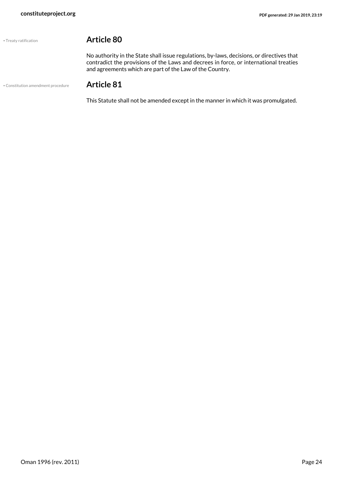<span id="page-23-1"></span>

#### • Treaty ratification **Article 80**

No authority in the State shall issue regulations, by-laws, decisions, or directives that contradict the provisions of the Laws and decrees in force, or international treaties and agreements which are part of the Law of the Country.

• Constitution amendment procedure **Article 81**

<span id="page-23-0"></span>This Statute shall not be amended except in the manner in which it was promulgated.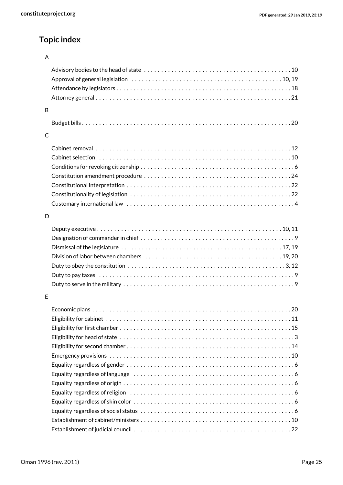# **Topic index**

#### A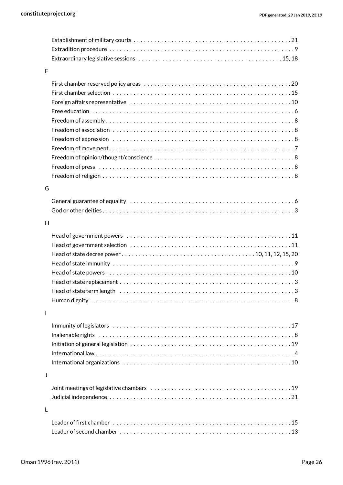| F            |                                                                                                                   |
|--------------|-------------------------------------------------------------------------------------------------------------------|
|              |                                                                                                                   |
|              |                                                                                                                   |
|              |                                                                                                                   |
|              |                                                                                                                   |
|              |                                                                                                                   |
|              |                                                                                                                   |
|              |                                                                                                                   |
|              |                                                                                                                   |
|              |                                                                                                                   |
|              |                                                                                                                   |
|              |                                                                                                                   |
|              |                                                                                                                   |
| G            |                                                                                                                   |
|              |                                                                                                                   |
|              |                                                                                                                   |
|              |                                                                                                                   |
| H            |                                                                                                                   |
|              |                                                                                                                   |
|              |                                                                                                                   |
|              |                                                                                                                   |
|              |                                                                                                                   |
|              |                                                                                                                   |
|              |                                                                                                                   |
|              | Head of state term length $\dots\dots\dots\dots\dots\dots\dots\dots\dots\dots\dots\dots\dots\dots\dots\dots\dots$ |
|              |                                                                                                                   |
| $\mathbf{I}$ |                                                                                                                   |
|              |                                                                                                                   |
|              |                                                                                                                   |
|              | Inalienable rights (a), and a contract the contract of the contract of the contract of $8$                        |
|              |                                                                                                                   |
|              |                                                                                                                   |
|              |                                                                                                                   |
| J            |                                                                                                                   |
|              |                                                                                                                   |
|              |                                                                                                                   |
|              |                                                                                                                   |
| L            |                                                                                                                   |
|              |                                                                                                                   |
|              |                                                                                                                   |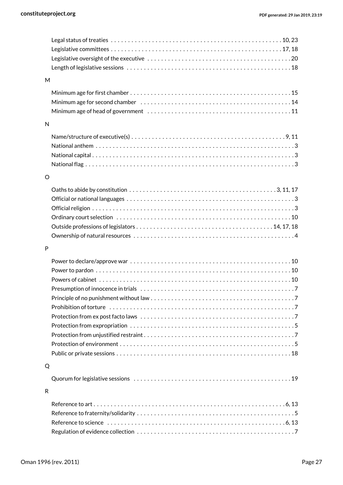| M            |                                                                                                                     |
|--------------|---------------------------------------------------------------------------------------------------------------------|
|              |                                                                                                                     |
|              |                                                                                                                     |
|              |                                                                                                                     |
|              | Minimum age of head of government (all contained accommodation and minimum age of head of government (b) and $\sim$ |
| $\mathsf{N}$ |                                                                                                                     |
|              |                                                                                                                     |
|              |                                                                                                                     |
|              |                                                                                                                     |
|              |                                                                                                                     |
|              |                                                                                                                     |
| O            |                                                                                                                     |
|              |                                                                                                                     |
|              |                                                                                                                     |
|              |                                                                                                                     |
|              |                                                                                                                     |
|              |                                                                                                                     |
|              |                                                                                                                     |
| P            |                                                                                                                     |
|              |                                                                                                                     |
|              |                                                                                                                     |
|              |                                                                                                                     |
|              |                                                                                                                     |
|              |                                                                                                                     |
|              |                                                                                                                     |
|              |                                                                                                                     |
|              |                                                                                                                     |
|              |                                                                                                                     |
|              |                                                                                                                     |
|              |                                                                                                                     |
|              |                                                                                                                     |
| Q            |                                                                                                                     |
|              |                                                                                                                     |
|              |                                                                                                                     |
| R            |                                                                                                                     |
|              |                                                                                                                     |
|              |                                                                                                                     |
|              |                                                                                                                     |
|              |                                                                                                                     |